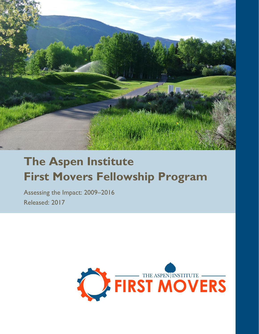

# **The Aspen Institute First Movers Fellowship Program**

Assessing the Impact: 2009–2016 Released: 2017

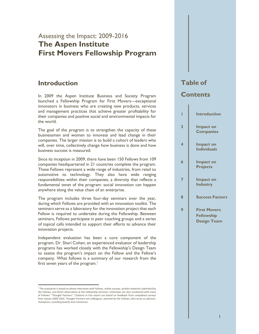## Assessing the Impact: 2009-2016 **The Aspen Institute First Movers Fellowship Program**

## **Introduction**

 $\overline{a}$ 

In 2009 the Aspen Institute Business and Society Program launched a Fellowship Program for First Movers—exceptional innovators in business who are creating new products, services and management practices that achieve greater profitability for their companies and positive social and environmental impacts for the world.

The goal of the program is to strengthen the capacity of these businessmen and women to innovate and lead change in their companies. The larger mission is to build a cohort of leaders who will, over time, collectively change how business is done and how business success is measured.

Since its inception in 2009, there have been 150 Fellows from 109 companies headquartered in 21 countries complete the program. These Fellows represent a wide range of industries, from retail to automotive to technology. They also have wide ranging responsibilities within their companies, a diversity that reflects a fundamental tenet of the program: social innovation can happen anywhere along the value chain of an enterprise.

The program includes three four-day seminars over the year, during which Fellows are provided with an innovation toolkit. The seminars serve as a laboratory for the innovation project that each Fellow is required to undertake during the Fellowship. Between seminars, Fellows participate in peer coaching groups and a series of topical calls intended to support their efforts to advance their innovation projects.

Independent evaluation has been a core component of the program. Dr. Shari Cohen, an experienced evaluator of leadership programs has worked closely with the Fellowship's Design Team to assess the program's impact on the Fellow and the Fellow's company. What follows is a summary of our research from the first seven years of the program.<sup>1</sup>

## **Table of**

#### **Contents**

| I              | <b>Introduction</b>                                            |
|----------------|----------------------------------------------------------------|
| $\overline{2}$ | <b>Impact on</b><br><b>Companies</b>                           |
| 4              | <b>Impact on</b><br><b>Individuals</b>                         |
| 6              | <b>Impact on</b><br><b>Projects</b>                            |
| 7              | <b>Impact on</b><br><b>Industry</b>                            |
| 8              | <b>Success Factors</b>                                         |
| 9              | <b>First Movers</b><br><b>Fellowship</b><br><b>Design Team</b> |

<sup>&</sup>lt;sup>1</sup> The evaluation is based on phone interviews with Fellows, online surveys, written materials submitted by the Fellows, and direct observation at the Fellowship seminars. Interviews are also conducted with many of Fellows' "Thought Partners." Citations in this report are based on feedback from completed surveys from classes 2009-2016. Thought Partners are colleagues, selected by the Fellows, who serve as advisors, champions, sounding boards and connectors.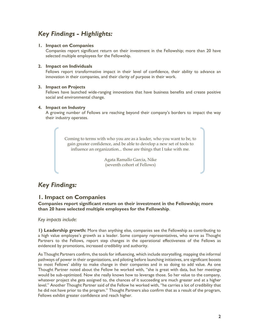## *Key Findings - Highlights:*

#### **1. Impact on Companies**

Companies report significant return on their investment in the Fellowship; more than 20 have selected multiple employees for the Fellowship.

#### **2. Impact on Individuals**

Fellows report transformative impact in their level of confidence, their ability to advance an innovation in their companies, and their clarity of purpose in their work.

#### **3. Impact on Projects**

Fellows have launched wide-ranging innovations that have business benefits and create positive social and environmental change.

#### **4. Impact on Industry**

A growing number of Fellows are reaching beyond their company's borders to impact the way their industry operates.

> Coming to terms with who you are as a leader, who you want to be, to gain greater confidence, and be able to develop a new set of tools to influence an organization... those are things that I take with me.

> > Agata Ramallo Garcia, Nike (seventh cohort of Fellows)

## *Key Findings:*

#### **1. Impact on Companies**

**Companies report significant return on their investment in the Fellowship; more than 20 have selected multiple employees for the Fellowship**.

*Key impacts include:*

**1) Leadership growth:** More than anything else, companies see the Fellowship as contributing to a high value employee's growth as a leader. Some company representatives, who serve as Thought Partners to the Fellows, report step changes in the operational effectiveness of the Fellows as evidenced by promotions, increased credibility and authority.

As Thought Partners confirm, the tools for influencing, which include storytelling, mapping the informal pathways of power in their organizations, and piloting before launching initiatives, are significant boosts to most Fellows' ability to make change in their companies and in so doing to add value. As one Thought Partner noted about the Fellow he worked with, "she is great with data, but her meetings would be sub-optimized. Now she really knows how to leverage those. So her value to the company, whatever project she gets assigned to, the chances of it succeeding are much greater and at a higher level." Another Thought Partner said of the Fellow he worked with, "he carries a lot of credibility that he did not have prior to the program." Thought Partners also confirm that as a result of the program, Fellows exhibit greater confidence and reach higher.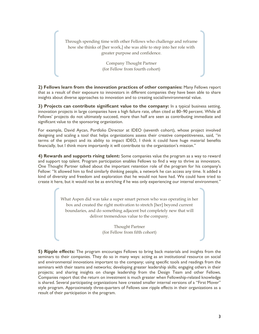Through spending time with other Fellows who challenge and reframe how she thinks of [her work,] she was able to step into her role with greater purpose and confidence.

> Company Thought Partner (for Fellow from fourth cohort)

**2) Fellows learn from the innovation practices of other companies:** Many Fellows report that as a result of their exposure to innovators in different companies they have been able to share insights about diverse approaches to innovation and to creating social/environmental value.

**3) Projects can contribute significant value to the company:** In a typical business setting, innovation projects in large companies have a high failure rate, often cited at 80–90 percent. While all Fellows' projects do not ultimately succeed, more than half are seen as contributing immediate and significant value to the sponsoring organization.

For example, David Aycan, Portfolio Director at IDEO (seventh cohort), whose project involved designing and scaling a tool that helps organizations assess their creative competitiveness, said, "in terms of the project and its ability to impact IDEO, I think it could have huge material benefits financially, but I think more importantly it will contribute to the organization's mission."

**4) Rewards and supports rising talent:** Some companies value the program as a way to reward and support top talent. Program participation enables Fellows to find a way to thrive as innovators. One Thought Partner talked about the important retention role of the program for his company's Fellow: "It allowed him to find similarly thinking people, a network he can access any time. It added a kind of diversity and freedom and exploration that he would not have had. We could have tried to create it here, but it would not be as enriching if he was only experiencing our internal environment."

> What Aspen did was take a super smart person who was operating in her box and created the right motivation to stretch [her] beyond current boundaries, and do something adjacent but completely new that will deliver tremendous value to the company.

> > Thought Partner (for Fellow from fifth cohort)

**5) Ripple effects:** The program encourages Fellows to bring back materials and insights from the seminars to their companies. They do so in many ways: acting as an institutional resource on social and environmental innovations important to the company; using specific tools and readings from the seminars with their teams and networks; developing greater leadership skills; engaging others in their projects; and sharing insights on change leadership from the Design Team and other Fellows. Companies report that the return on investment is much greater when Fellowship-related knowledge is shared. Several participating organizations have created smaller internal versions of a "First Mover" style program. Approximately three-quarters of Fellows saw ripple effects in their organizations as a result of their participation in the program.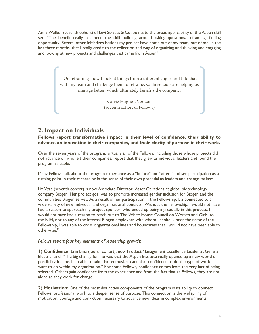Anna Walker (seventh cohort) of Levi Strauss & Co. points to the broad applicability of the Aspen skill set. "The benefit really has been the skill building around asking questions, reframing, finding opportunity. Several other initiatives besides my project have come out of my team, out of me, in the last three months, that I really credit to the reflection and way of organizing and thinking and engaging and looking at new projects and challenges that came from Aspen."

> [On reframing] now I look at things from a different angle, and I do that with my team and challenge them to reframe, so those tools are helping us manage better, which ultimately benefits the company.

> > Carrie Hughes, Verizon (seventh cohort of Fellows)

### **2. Impact on Individuals**

**Fellows report transformative impact in their level of confidence, their ability to advance an innovation in their companies, and their clarity of purpose in their work.**

Over the seven years of the program, virtually all of the Fellows, including those whose projects did not advance or who left their companies, report that they grew as individual leaders and found the program valuable.

Many Fellows talk about the program experience as a "before" and "after," and see participation as a turning point in their careers or in the sense of their own potential as leaders and change-makers.

Liz Vyas (seventh cohort) is now Associate Director, Asset Oerations at global biotechnology company Biogen. Her project goal was to promote increased gender inclusion for Biogen and the communities Biogen serves. As a result of her participation in the Fellowship, Liz connected to a wide variety of new individual and organizational contacts. 'Without the Fellowship, I would not have had a reason to approach my project sponsor, who ended up being a great ally in this process. I would not have had a reason to reach out to The White House Council on Women and Girls, to the NIH, nor to any of the internal Biogen employees with whom I spoke. Under the name of the Fellowship, I was able to cross organizational lines and boundaries that I would not have been able to otherwise.'"

#### *Fellows report four key elements of leadership growth:*

**1) Confidence:** Erin Bina (fourth cohort), now Product Management Excellence Leader at General Electric, said, "The big change for me was that the Aspen Institute really opened up a new world of possibility for me. I am able to take that enthusiasm and that confidence to do the type of work I want to do within my organization." For some Fellows, confidence comes from the very fact of being selected. Others gain confidence from the experience and from the fact that as Fellows, they are not alone as they work for change.

**2) Motivation:** One of the most distinctive components of the program is its ability to connect Fellows' professional work to a deeper sense of purpose. This connection is the wellspring of motivation, courage and conviction necessary to advance new ideas in complex environments.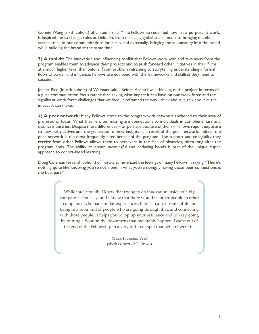Connie Wang (sixth cohort) of LinkedIn said, "The Fellowship redefined how I saw purpose at work. It inspired me to change roles at LinkedIn, from managing global social media to bringing member stories to all of our communications internally and externally, bringing more humanity into the brand while building the brand at the same time."

**3) A toolkit:** The innovation and influencing toolkit that Fellows work with and take away from the program enables them to advance their projects and to push forward other initiatives in their firms at a much higher level than before. From problem reframing to storytelling understanding informal flows of power and influence, Fellows are equipped with the frameworks and skillset they need to succeed.

Jenifer Bice (fourth cohort) of Walmart said, "Before Aspen I was thinking of the project in terms of a pure communication focus rather than asking what impact it can have on our work force and the significant work force challenges that we face. It reframed the way I think about it, talk about it, the impact it can make."

**4) A peer network:** Many Fellows come to the program with networks anchored to their area of professional focus. What they're often missing are connections to individuals in complementary and distinct industries. Despite these differences – or perhaps because of them – Fellows report exposure to new perspectives and the generation of new insights as a result of the peer network. Indeed, the peer network is the most frequently cited benefit of the program. The support and collegiality they receive from other Fellows allows them to persevere in the face of obstacles, often long after the program ends. The ability to create meaningful and enduring bonds is part of the unique Aspen approach to cohort-based learning.

Doug Coleman (seventh cohort) of Toyota summarized the feelings of many Fellows in saying, "There's nothing quite like knowing you're not alone in what you're doing… having those peer connections is the best part."

> While intellectually I knew that trying to do innovation inside of a big company is not easy, and I knew that there would be other people in other companies who had similar experiences, there's really no substitute for being in a room full of people who are going through that, and connecting with those people. It helps you to top up your resilience and to keep going by putting a floor on the downturns that inevitably happen. I came out of the end of the Fellowship in a very different spot than when I went in.

> > Mark Pickens, Visa (sixth cohort of Fellows)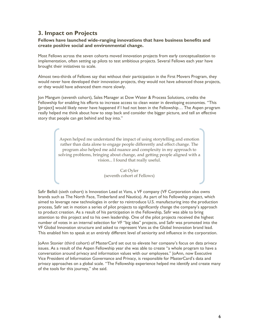## **3. Impact on Projects**

#### **Fellows have launched wide-ranging innovations that have business benefits and create positive social and environmental change.**

Most Fellows across the seven cohorts moved innovation projects from early conceptualization to implementation, often setting up pilots to test ambitious projects. Several Fellows each year have brought their initiatives to scale.

Almost two-thirds of Fellows say that without their participation in the First Movers Program, they would never have developed their innovation projects, they would not have advanced those projects, or they would have advanced them more slowly.

Jon Mangum (seventh cohort), Sales Manager at Dow Water & Process Solutions, credits the Fellowship for enabling his efforts to increase access to clean water in developing economies. "This [project] would likely never have happened if I had not been in the Fellowship… The Aspen program really helped me think about how to step back and consider the bigger picture, and tell an effective story that people can get behind and buy into."

> Aspen helped me understand the impact of using storytelling and emotion rather than data alone to engage people differently and effect change. The program also helped me add nuance and complexity in my approach to solving problems, bringing about change, and getting people aligned with a vision... I found that really useful.

> > Cat Oyler (seventh cohort of Fellows)

Safir Bellali (sixth cohort) is Innovation Lead at Vans, a VF company (VF Corporation also owns brands such as The North Face, Timberland and Nautica). As part of his Fellowship project, which aimed to leverage new technologies in order to reintroduce U.S. manufacturing into the production process, Safir set in motion a series of pilot projects to significantly change the company's approach to product creation. As a result of his participation in the Fellowship, Safir was able to bring attention to this project and to his own leadership. One of the pilot projects received the highest number of votes in an internal selection for VF "big idea" projects, and Safir was promoted into the VF Global Innovation structure and asked to represent Vans as the Global Innovation brand lead. This enabled him to speak at an entirely different level of seniority and influence in the corporation.

JoAnn Stonier (third cohort) of MasterCard set out to elevate her company's focus on data privacy issues. As a result of the Aspen Fellowship year she was able to create "a whole program to have a conversation around privacy and information values with our employees." JoAnn, now Executive Vice President of Information Governance and Privacy, is responsible for MasterCard's data and privacy approaches on a global scale. "The Fellowship experience helped me identify and create many of the tools for this journey," she said.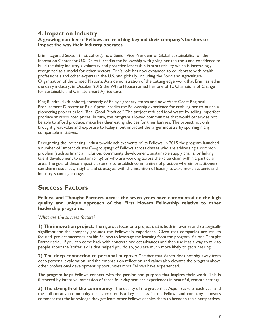### **4. Impact on Industry**

#### **A growing number of Fellows are reaching beyond their company's borders to impact the way their industry operates.**

Erin Fitzgerald Sexson (first cohort), now Senior Vice President of Global Sustainability for the Innovation Center for U.S. Dairy®, credits the Fellowship with giving her the tools and confidence to build the dairy industry's voluntary and proactive leadership in sustainability which is increasingly recognized as a model for other sectors. Erin's role has now expanded to collaborate with health professionals and other experts in the U.S. and globally, including the Food and Agriculture Organization of the United Nations. As a demonstration of the cutting edge work that Erin has led in the dairy industry, in October 2015 the White House named her one of 12 Champions of Change for Sustainable and Climate-Smart Agriculture.

Meg Burritt (sixth cohort), formerly of Raley's grocery stores and now West Coast Regional Procurement Director at Blue Apron, credits the Fellowship experience for enabling her to launch a pioneering project called "Real Good Produce." The project reduced food waste by selling imperfect produce at discounted prices. In turn, this program allowed communities that would otherwise not be able to afford produce, make healthier eating choices for their families. The project not only brought great value and exposure to Raley's, but impacted the larger industry by spurring many comparable initiatives.

Recognizing the increasing, industry-wide achievements of its Fellows, in 2015 the program launched a number of "impact clusters"—groupings of Fellows across classes who are addressing a common problem (such as financial inclusion, community development, sustainable supply chains, or linking talent development to sustainability) or who are working across the value chain within a particular area. The goal of these impact clusters is to establish communities of practice wherein practitioners can share resources, insights and strategies, with the intention of leading toward more systemic and industry-spanning change.

## **Success Factors**

**Fellows and Thought Partners across the seven years have commented on the high quality and unique approach of the First Movers Fellowship relative to other leadership programs.**

*What are the success factors?*

**1) The innovation project:** The rigorous focus on a project that is both innovative and strategically significant for the company grounds the Fellowship experience. Given that companies are results focused, project successes enable Fellows to leverage the learning from the program. As one Thought Partner said, "if you can come back with concrete project advances and then use it as a way to talk to people about the 'softer' skills that helped you do so, you are much more likely to get a hearing."

**2) The deep connection to personal purpose:** The fact that Aspen does not shy away from deep personal exploration, and the emphasis on reflection and values also elevates the program above other professional development opportunities most Fellows have experienced.

The program helps Fellows connect with the passion and purpose that inspires their work. This is furthered by intensive immersion of three four-day seminar experiences in beautiful, remote settings.

**3) The strength of the community:** The quality of the group that Aspen recruits each year and the collaborative community that is created is a key success factor. Fellows and company sponsors comment that the knowledge they get from other Fellows enables them to broaden their perspectives.